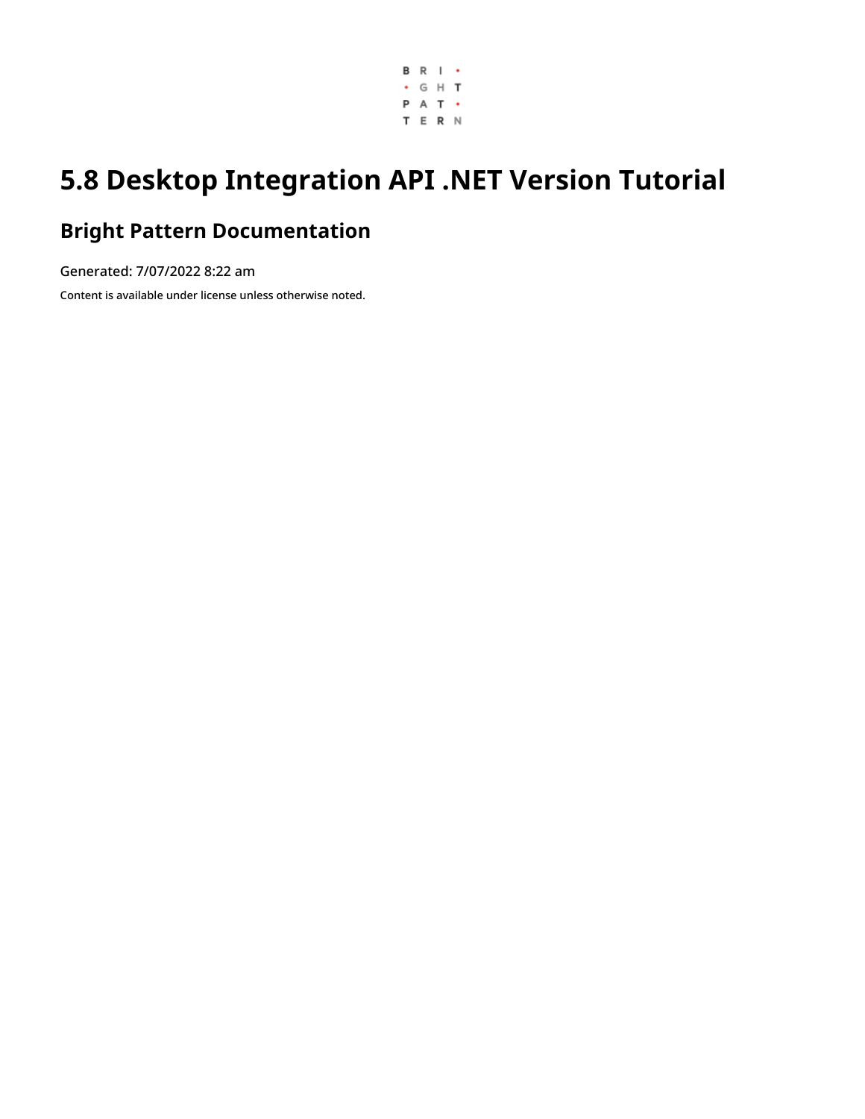

# **5.8 Desktop Integration API .NET Version Tutorial**

# **Bright Pattern Documentation**

Generated: 7/07/2022 8:22 am Content is available under license unless otherwise noted.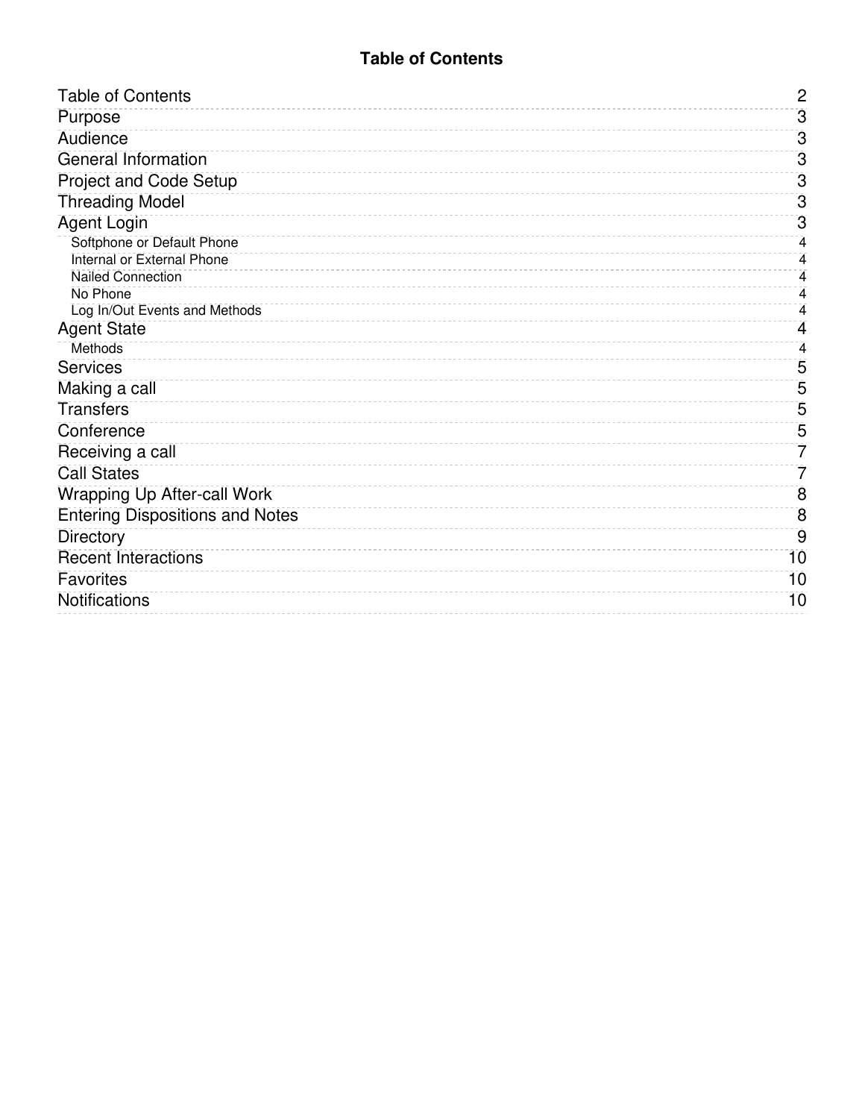#### **Table of Contents**

<span id="page-1-0"></span>

| <b>Table of Contents</b>                                      | $\overline{2}$ |
|---------------------------------------------------------------|----------------|
| Purpose                                                       | $\overline{3}$ |
| Audience                                                      | $\overline{3}$ |
| General Information                                           | $\overline{3}$ |
| <b>Project and Code Setup</b>                                 | $\overline{3}$ |
| <b>Threading Model</b>                                        | $\overline{3}$ |
| <b>Agent Login</b>                                            | $\overline{3}$ |
| Softphone or Default Phone                                    | 4              |
| <b>Internal or External Phone</b><br><b>Nailed Connection</b> | 4<br>4         |
| No Phone                                                      | 4              |
| Log In/Out Events and Methods                                 | 4              |
| <b>Agent State</b>                                            | 4              |
| <b>Methods</b>                                                | 4              |
| <b>Services</b>                                               | 5              |
| Making a call                                                 | 5              |
| <b>Transfers</b>                                              | 5              |
| Conference                                                    | 5              |
| Receiving a call                                              | 7              |
| <b>Call States</b>                                            | 7              |
| <b>Wrapping Up After-call Work</b>                            | 8              |
| <b>Entering Dispositions and Notes</b>                        | 8              |
| <b>Directory</b>                                              | 9              |
| <b>Recent Interactions</b>                                    | 10             |
| <b>Favorites</b>                                              | 10             |
| Notifications                                                 | 10             |
|                                                               |                |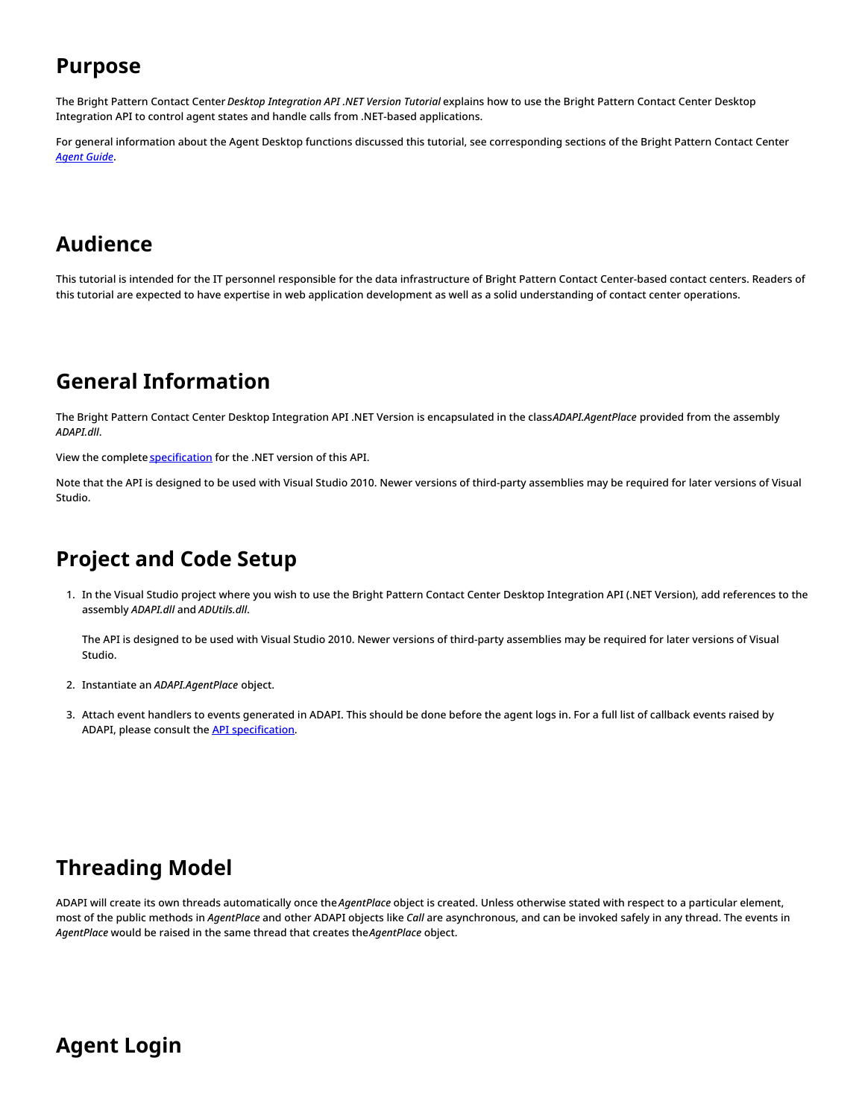#### <span id="page-2-0"></span>**Purpose**

The Bright Pattern Contact Center *Desktop Integration API .NET Version Tutorial* explains how to use the Bright Pattern Contact Center Desktop Integration API to control agent states and handle calls from .NET-based applications.

For general information about the Agent Desktop functions discussed this tutorial, see corresponding sections of the Bright Pattern Contact Center *[Agent](https://help.brightpattern.com/5.8:Desktop-integration-api-net-version-tutorial/?action=html-localimages-export#topic_agent-guide.2Fpurpose) Guide*.

### <span id="page-2-1"></span>**Audience**

This tutorial is intended for the IT personnel responsible for the data infrastructure of Bright Pattern Contact Center-based contact centers. Readers of this tutorial are expected to have expertise in web application development as well as a solid understanding of contact center operations.

#### <span id="page-2-2"></span>**General Information**

The Bright Pattern Contact Center Desktop Integration API .NET Version is encapsulated in the class*ADAPI.AgentPlace* provided from the assembly *ADAPI.dll*.

View the complete [specification](https://help.brightpattern.com/ADAPI_5_5_1_Doc/index.html) for the .NET version of this API.

Note that the API is designed to be used with Visual Studio 2010. Newer versions of third-party assemblies may be required for later versions of Visual Studio.

### <span id="page-2-3"></span>**Project and Code Setup**

1. In the Visual Studio project where you wish to use the Bright Pattern Contact Center Desktop Integration API (.NET Version), add references to the assembly *ADAPI.dll* and *ADUtils.dll*.

The API is designed to be used with Visual Studio 2010. Newer versions of third-party assemblies may be required for later versions of Visual Studio.

- 2. Instantiate an *ADAPI.AgentPlace* object.
- 3. Attach event handlers to events generated in ADAPI. This should be done before the agent logs in. For a full list of callback events raised by ADAPI, please consult the API [specification](https://help.brightpattern.com/ADAPI_5_5_1_Doc/index.html).

### <span id="page-2-4"></span>**Threading Model**

ADAPI will create its own threads automatically once the *AgentPlace* object is created. Unless otherwise stated with respect to a particular element, most of the public methods in *AgentPlace* and other ADAPI objects like *Call* are asynchronous, and can be invoked safely in any thread. The events in *AgentPlace* would be raised in the same thread that creates the*AgentPlace* object.

### <span id="page-2-5"></span>**Agent Login**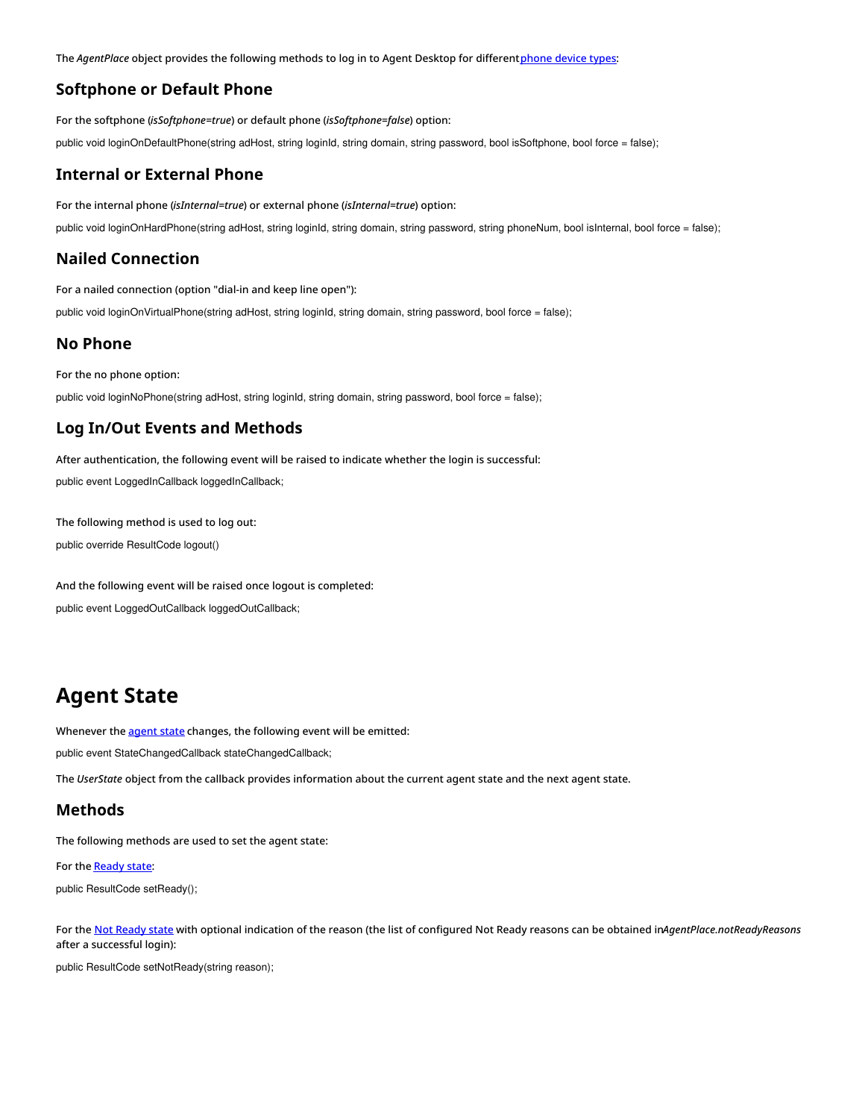The *AgentPlace* object provides the following methods to log in to Agent Desktop for different[phone](https://help.brightpattern.com/5.8:Desktop-integration-api-net-version-tutorial/?action=html-localimages-export#topic_agent-guide.2Fselectingaphonedevice) device types:

#### <span id="page-3-0"></span>**Softphone or Default Phone**

For the softphone (*isSoftphone=true*) or default phone (*isSoftphone=false*) option:

public void loginOnDefaultPhone(string adHost, string loginId, string domain, string password, bool isSoftphone, bool force = false);

#### <span id="page-3-1"></span>**Internal or External Phone**

For the internal phone (*isInternal=true*) or external phone (*isInternal=true*) option:

public void loginOnHardPhone(string adHost, string loginId, string domain, string password, string phoneNum, bool isInternal, bool force = false);

#### <span id="page-3-2"></span>**Nailed Connection**

For a nailed connection (option "dial-in and keep line open"):

public void loginOnVirtualPhone(string adHost, string loginId, string domain, string password, bool force = false);

#### <span id="page-3-3"></span>**No Phone**

For the no phone option:

public void loginNoPhone(string adHost, string loginId, string domain, string password, bool force = false);

#### <span id="page-3-4"></span>**Log In/Out Events and Methods**

After authentication, the following event will be raised to indicate whether the login is successful: public event LoggedInCallback loggedInCallback;

The following method is used to log out: public override ResultCode logout()

And the following event will be raised once logout is completed: public event LoggedOutCallback loggedOutCallback;

### <span id="page-3-5"></span>**Agent State**

Whenever the **[agent](https://help.brightpattern.com/5.8:Desktop-integration-api-net-version-tutorial/?action=html-localimages-export#topic_agent-guide.2Fhowtointerpretyourcurrentstateinformation) state** changes, the following event will be emitted:

public event StateChangedCallback stateChangedCallback;

The *UserState* object from the callback provides information about the current agent state and the next agent state.

#### <span id="page-3-6"></span>**Methods**

The following methods are used to set the agent state:

For the [Ready](https://help.brightpattern.com/5.8:Desktop-integration-api-net-version-tutorial/?action=html-localimages-export#topic_agent-guide.2Fhowtomakeyourselfready) state:

public ResultCode setReady();

For the Not [Ready](https://help.brightpattern.com/5.8:Desktop-integration-api-net-version-tutorial/?action=html-localimages-export#topic_agent-guide.2Fhowtomakeyourselfnotready) state with optional indication of the reason (the list of configured Not Ready reasons can be obtained in*AgentPlace.notReadyReasons* after a successful login):

public ResultCode setNotReady(string reason);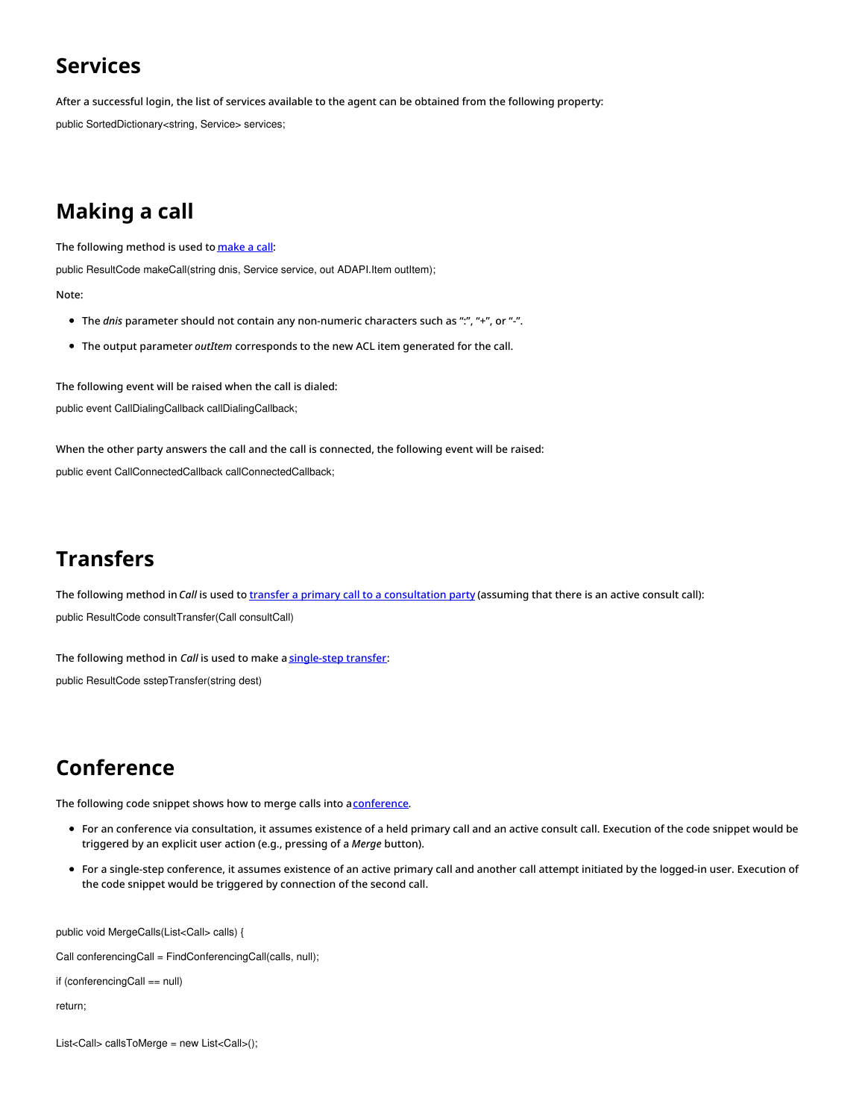### <span id="page-4-0"></span>**Services**

After a successful login, the list of services available to the agent can be obtained from the following property:

public SortedDictionary<string, Service> services;

# <span id="page-4-1"></span>**Making a call**

The following method is used to [make](https://help.brightpattern.com/5.8:Desktop-integration-api-net-version-tutorial/?action=html-localimages-export#topic_agent-guide.2Fhowtomakeaninternalcall) a call:

public ResultCode makeCall(string dnis, Service service, out ADAPI.Item outItem);

Note:

- The *dnis* parameter should not contain any non-numeric characters such as ":", "+", or "-".
- The output parameter *outItem* corresponds to the new ACL item generated for the call.

The following event will be raised when the call is dialed: public event CallDialingCallback callDialingCallback;

When the other party answers the call and the call is connected, the following event will be raised: public event CallConnectedCallback callConnectedCallback;

### <span id="page-4-2"></span>**Transfers**

The following method in *Call* is used to transfer a primary call to a [consultation](https://help.brightpattern.com/5.8:Desktop-integration-api-net-version-tutorial/?action=html-localimages-export#topic_agent-guide.2Fhowtotransferacall) party (assuming that there is an active consult call): public ResultCode consultTransfer(Call consultCall)

The following method in *Call* is used to make a [single-step](https://help.brightpattern.com/5.8:Desktop-integration-api-net-version-tutorial/?action=html-localimages-export#topic_agent-guide.2Fhowtoplaceacallinaservicequeue) transfer: public ResultCode sstepTransfer(string dest)

# <span id="page-4-3"></span>**Conference**

The following code snippet shows how to merge calls into a [conference](https://help.brightpattern.com/5.8:Desktop-integration-api-net-version-tutorial/?action=html-localimages-export#topic_agent-guide.2Fhowtohostaconference).

- For an conference via consultation, it assumes existence of a held primary call and an active consult call. Execution of the code snippet would be triggered by an explicit user action (e.g., pressing of a *Merge* button).
- For a single-step conference, it assumes existence of an active primary call and another call attempt initiated by the logged-in user. Execution of the code snippet would be triggered by connection of the second call.

public void MergeCalls(List<Call> calls) {

Call conferencingCall = FindConferencingCall(calls, null);

```
if (conferencingCall == null)
```
return;

List<Call> callsToMerge = new List<Call>();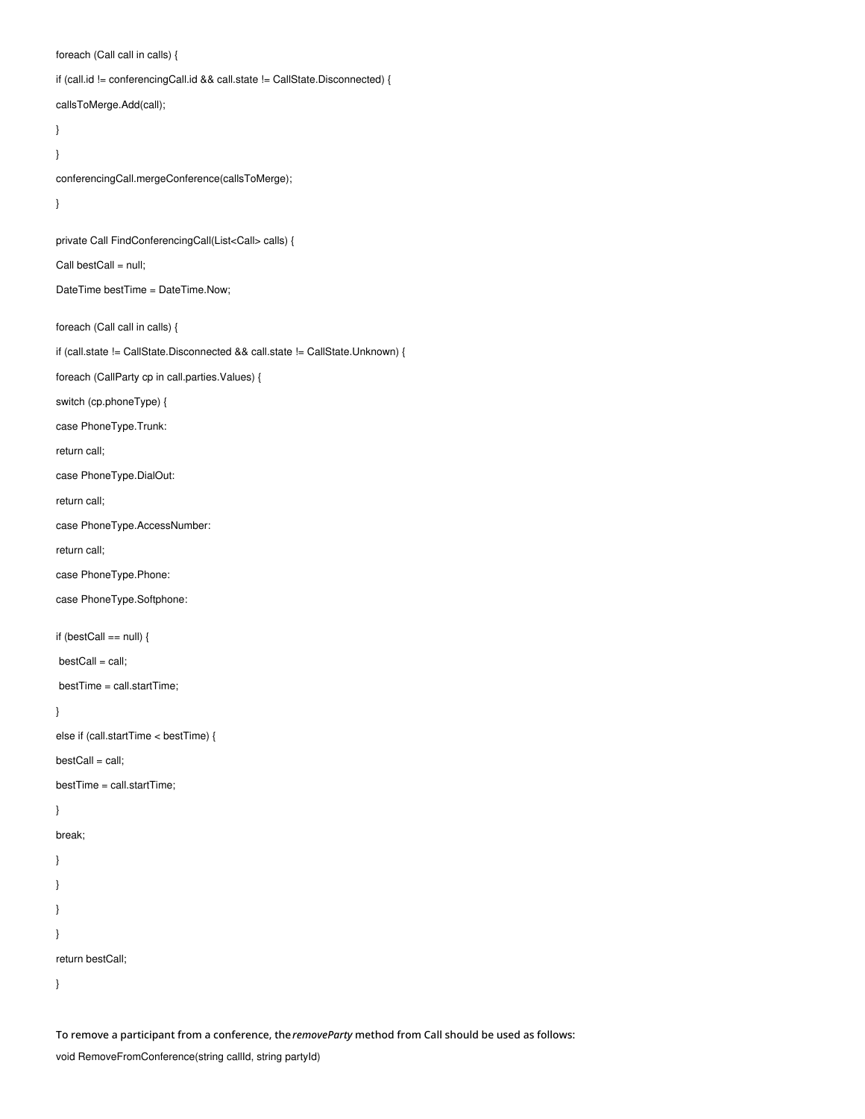foreach (Call call in calls) {

if (call.id != conferencingCall.id && call.state != CallState.Disconnected) {

callsToMerge.Add(call);

}

}

conferencingCall.mergeConference(callsToMerge);

```
}
```
private Call FindConferencingCall(List<Call> calls) {

Call bestCall = null;

DateTime bestTime = DateTime.Now;

foreach (Call call in calls) {

if (call.state != CallState.Disconnected && call.state != CallState.Unknown) {

foreach (CallParty cp in call.parties.Values) {

switch (cp.phoneType) {

case PhoneType.Trunk:

return call;

case PhoneType.DialOut:

return call;

case PhoneType.AccessNumber:

return call;

case PhoneType.Phone:

case PhoneType.Softphone:

if (bestCall == null) {

bestCall = call;

bestTime = call.startTime;

}

else if (call.startTime < bestTime) {

 $bestCall = call;$ 

bestTime = call.startTime;

}

break;

} } } }

return bestCall;

}

To remove a participant from a conference, the*removeParty* method from Call should be used as follows:

void RemoveFromConference(string callId, string partyId)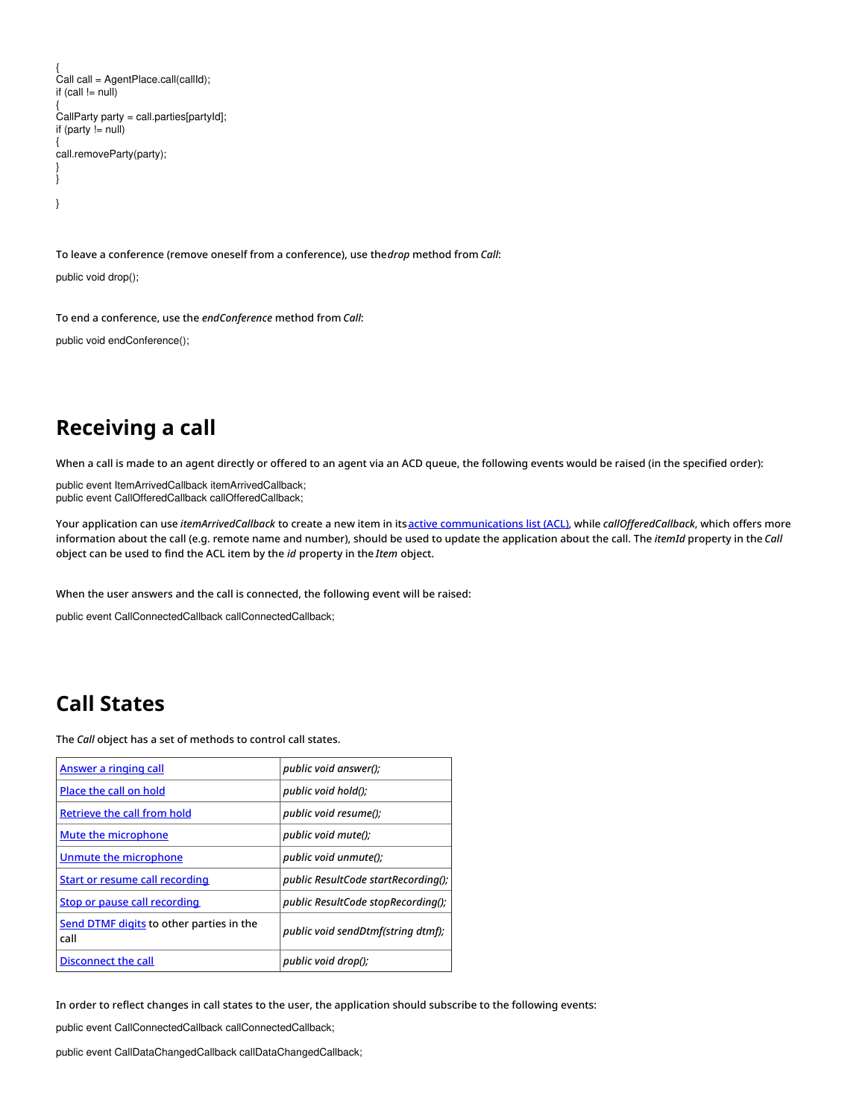```
{
Call call = AgentPlace.call(callId);
if (call != null){
CallParty party = call.parties[partyId];
if (party != null)
{
call.removeParty(party);
}
}
}
```
To leave a conference (remove oneself from a conference), use the*drop* method from *Call*:

public void drop();

To end a conference, use the *endConference* method from *Call*:

public void endConference();

#### <span id="page-6-0"></span>**Receiving a call**

When a call is made to an agent directly or offered to an agent via an ACD queue, the following events would be raised (in the specified order):

public event ItemArrivedCallback itemArrivedCallback; public event CallOfferedCallback callOfferedCallback;

Your application can use *itemArrivedCallback* to create a new item in itsactive [communications](https://help.brightpattern.com/5.8:Desktop-integration-api-net-version-tutorial/?action=html-localimages-export#topic_agent-guide.2Fuserinterfaceoverview) list (ACL), while *callOfferedCallback*, which offers more information about the call (e.g. remote name and number), should be used to update the application about the call. The *itemId* property in the *Call* object can be used to find the ACL item by the *id* property in the *Item* object.

When the user answers and the call is connected, the following event will be raised:

public event CallConnectedCallback callConnectedCallback;

#### <span id="page-6-1"></span>**Call States**

The *Call* object has a set of methods to control call states.

| Answer a ringing call                            | public void answer();               |
|--------------------------------------------------|-------------------------------------|
| Place the call on hold                           | public void hold();                 |
| Retrieve the call from hold                      | public void resume();               |
| <b>Mute the microphone</b>                       | public void mute();                 |
| Unmute the microphone                            | public void unmute();               |
| <b>Start or resume call recording</b>            | public ResultCode startRecording(); |
| Stop or pause call recording                     | public ResultCode stopRecording();  |
| Send DTMF digits to other parties in the<br>call | public void sendDtmf(string dtmf);  |
| Disconnect the call                              | public void drop();                 |

In order to reflect changes in call states to the user, the application should subscribe to the following events:

public event CallConnectedCallback callConnectedCallback;

public event CallDataChangedCallback callDataChangedCallback;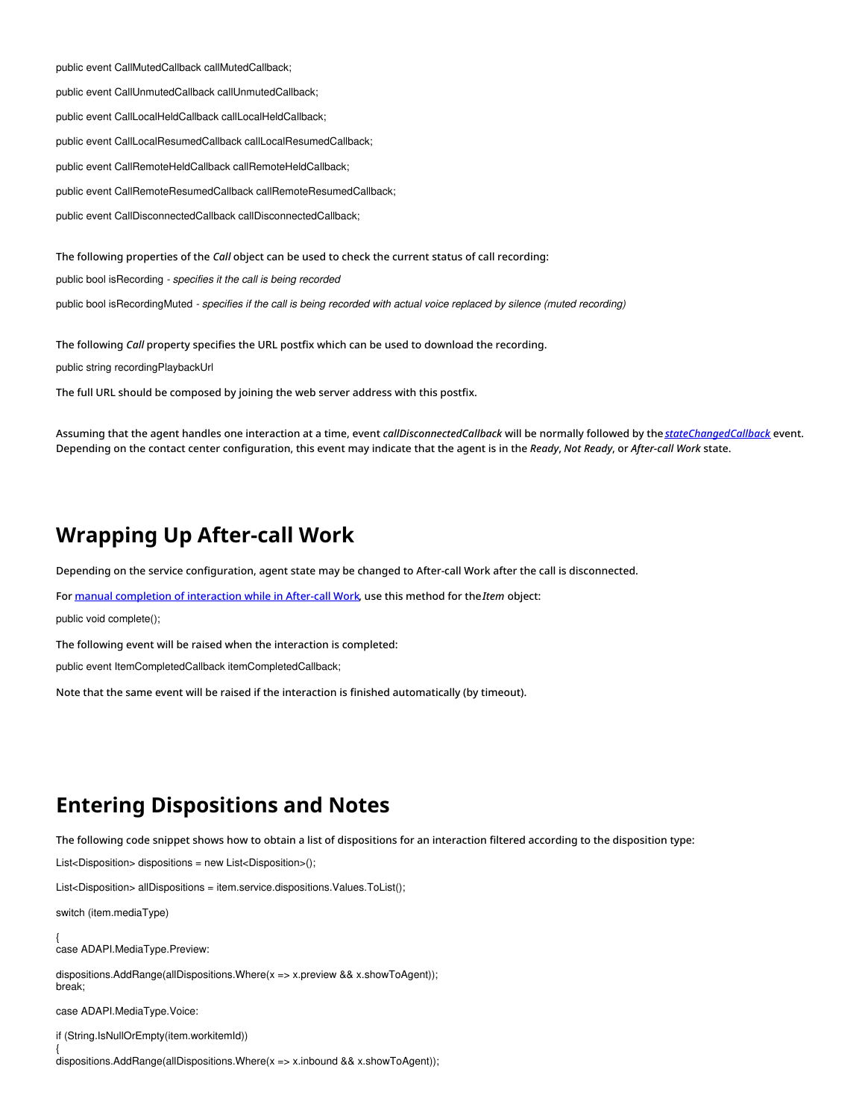public event CallMutedCallback callMutedCallback;

public event CallUnmutedCallback callUnmutedCallback;

public event CallLocalHeldCallback callLocalHeldCallback;

public event CallLocalResumedCallback callLocalResumedCallback;

public event CallRemoteHeldCallback callRemoteHeldCallback;

public event CallRemoteResumedCallback callRemoteResumedCallback;

public event CallDisconnectedCallback callDisconnectedCallback;

The following properties of the *Call* object can be used to check the current status of call recording:

public bool isRecording *- specifies it the call is being recorded*

public bool isRecordingMuted - specifies if the call is being recorded with actual voice replaced by silence (muted recording)

The following *Call* property specifies the URL postfix which can be used to download the recording.

public string recordingPlaybackUrl

The full URL should be composed by joining the web server address with this postfix.

Assuming that the agent handles one interaction at a time, event *callDisconnectedCallback* will be normally followed by the *[stateChangedCallback](https://help.brightpattern.com/5.8:Desktop-integration-api-net-version-tutorial/?action=html-localimages-export#topic_desktop-integration-api-net-version-tutorial.2Fagentstate)* event. Depending on the contact center configuration, this event may indicate that the agent is in the *Ready*, *Not Ready*, or *After-call Work* state.

#### <span id="page-7-0"></span>**Wrapping Up After-call Work**

Depending on the service configuration, agent state may be changed to After-call Work after the call is disconnected.

For manual [completion](https://help.brightpattern.com/5.8:Desktop-integration-api-net-version-tutorial/?action=html-localimages-export#topic_agent-guide.2Fhowtowrapupafter-callwork) of interaction while in After-call Work, use this method for the*Item* object:

public void complete();

The following event will be raised when the interaction is completed:

public event ItemCompletedCallback itemCompletedCallback;

Note that the same event will be raised if the interaction is finished automatically (by timeout).

#### <span id="page-7-1"></span>**Entering Dispositions and Notes**

The following code snippet shows how to obtain a list of dispositions for an interaction filtered according to the disposition type:

List<Disposition> dispositions = new List<Disposition>();

List<Disposition> allDispositions = item.service.dispositions.Values.ToList();

switch (item.mediaType)

{ case ADAPI.MediaType.Preview:

dispositions.AddRange(allDispositions.Where(x => x.preview && x.showToAgent)); break;

case ADAPI.MediaType.Voice:

if (String.IsNullOrEmpty(item.workitemId))

{ dispositions.AddRange(allDispositions.Where(x => x.inbound && x.showToAgent));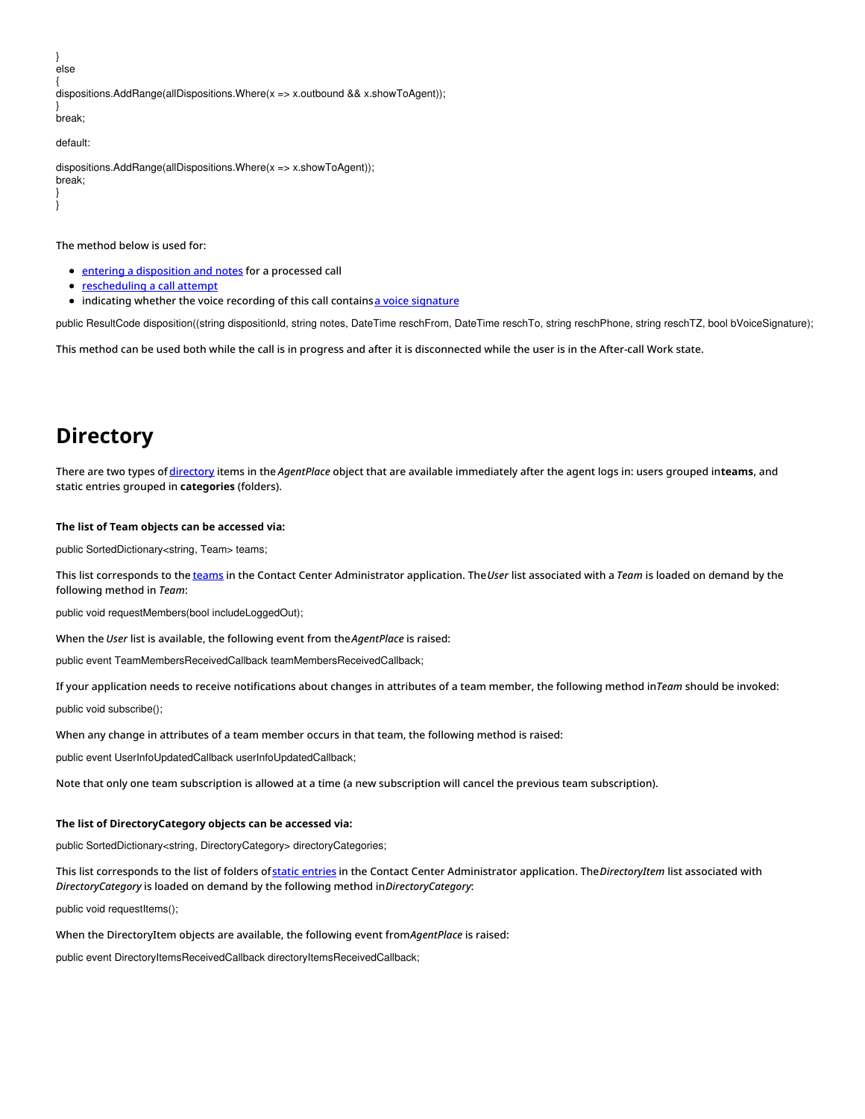{ dispositions.AddRange(allDispositions.Where(x => x.outbound && x.showToAgent)); } break;

default:

} }

} else

dispositions.AddRange(allDispositions.Where(x => x.showToAgent)); break;

The method below is used for:

- **•** entering a [disposition](https://help.brightpattern.com/5.8:Desktop-integration-api-net-version-tutorial/?action=html-localimages-export#topic_agent-guide.2Fhowtoenterdispositionsandnotes) and notes for a processed call
- [rescheduling](https://help.brightpattern.com/5.8:Desktop-integration-api-net-version-tutorial/?action=html-localimages-export#topic_agent-guide.2Fhowtorescheduleacallattempt) a call attempt
- indicating whether the voice recording of this call containsa voice [signature](https://help.brightpattern.com/5.8:Desktop-integration-api-net-version-tutorial/?action=html-localimages-export#topic_agent-guide.2Fhowtocollectavoicesignature)

public ResultCode disposition((string dispositionId, string notes, DateTime reschFrom, DateTime reschTo, string reschPhone, string reschTZ, bool bVoiceSignature);

This method can be used both while the call is in progress and after it is disconnected while the user is in the After-call Work state.

### <span id="page-8-0"></span>**Directory**

There are two types of [directory](https://help.brightpattern.com/5.8:Desktop-integration-api-net-version-tutorial/?action=html-localimages-export#topic_agent-guide.2Fhowtousethedirectory) items in the *AgentPlace* object that are available immediately after the agent logs in: users grouped in**teams**, and static entries grouped in **categories** (folders).

#### **The list of Team objects can be accessed via:**

public SortedDictionary<string, Team> teams;

This list corresponds to the [teams](https://help.brightpattern.com/5.8:Desktop-integration-api-net-version-tutorial/?action=html-localimages-export#topic_contact-center-administrator-guide.2Fteams) in the Contact Center Administrator application. The*User* list associated with a *Team* is loaded on demand by the following method in *Team*:

public void requestMembers(bool includeLoggedOut);

When the *User* list is available, the following event from the*AgentPlace* is raised:

public event TeamMembersReceivedCallback teamMembersReceivedCallback;

If your application needs to receive notifications about changes in attributes of a team member, the following method in*Team* should be invoked:

public void subscribe();

When any change in attributes of a team member occurs in that team, the following method is raised:

public event UserInfoUpdatedCallback userInfoUpdatedCallback;

Note that only one team subscription is allowed at a time (a new subscription will cancel the previous team subscription).

#### **The list of DirectoryCategory objects can be accessed via:**

public SortedDictionary<string, DirectoryCategory> directoryCategories;

This list corresponds to the list of folders ofstatic [entries](https://help.brightpattern.com/5.8:Desktop-integration-api-net-version-tutorial/?action=html-localimages-export#topic_contact-center-administrator-guide.2Fstaticentries) in the Contact Center Administrator application. The*DirectoryItem* list associated with *DirectoryCategory* is loaded on demand by the following method in*DirectoryCategory*:

public void requestItems();

When the DirectoryItem objects are available, the following event from*AgentPlace* is raised:

public event DirectoryItemsReceivedCallback directoryItemsReceivedCallback;